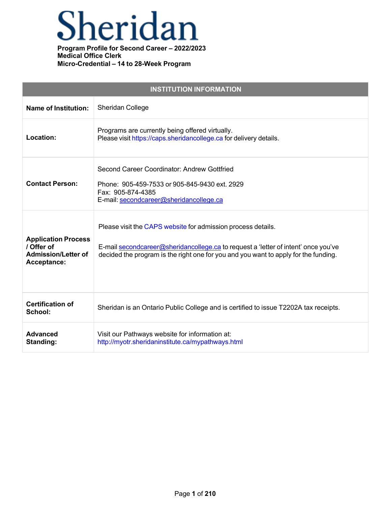## Sheridan

| <b>INSTITUTION INFORMATION</b>                                                        |                                                                                                                                                                                                                                           |  |
|---------------------------------------------------------------------------------------|-------------------------------------------------------------------------------------------------------------------------------------------------------------------------------------------------------------------------------------------|--|
| <b>Name of Institution:</b>                                                           | Sheridan College                                                                                                                                                                                                                          |  |
| Location:                                                                             | Programs are currently being offered virtually.<br>Please visit https://caps.sheridancollege.ca for delivery details.                                                                                                                     |  |
| <b>Contact Person:</b>                                                                | Second Career Coordinator: Andrew Gottfried<br>Phone: 905-459-7533 or 905-845-9430 ext. 2929<br>Fax: 905-874-4385<br>E-mail: secondcareer@sheridancollege.ca                                                                              |  |
| <b>Application Process</b><br>/ Offer of<br><b>Admission/Letter of</b><br>Acceptance: | Please visit the CAPS website for admission process details.<br>E-mail secondcareer@sheridancollege.ca to request a 'letter of intent' once you've<br>decided the program is the right one for you and you want to apply for the funding. |  |
| <b>Certification of</b><br>School:                                                    | Sheridan is an Ontario Public College and is certified to issue T2202A tax receipts.                                                                                                                                                      |  |
| <b>Advanced</b><br><b>Standing:</b>                                                   | Visit our Pathways website for information at:<br>http://myotr.sheridaninstitute.ca/mypathways.html                                                                                                                                       |  |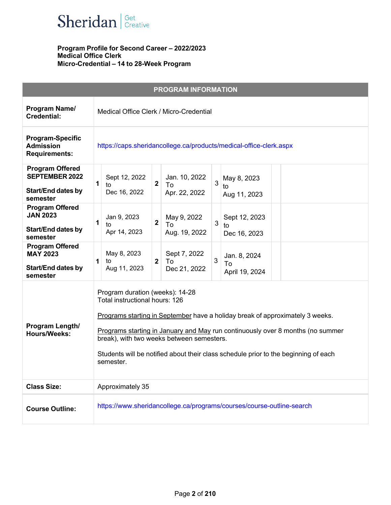

| <b>PROGRAM INFORMATION</b>                                                               |                                                                                                                                                                                                                                                                                                                                                                                       |
|------------------------------------------------------------------------------------------|---------------------------------------------------------------------------------------------------------------------------------------------------------------------------------------------------------------------------------------------------------------------------------------------------------------------------------------------------------------------------------------|
| Program Name/<br><b>Credential:</b>                                                      | Medical Office Clerk / Micro-Credential                                                                                                                                                                                                                                                                                                                                               |
| <b>Program-Specific</b><br><b>Admission</b><br><b>Requirements:</b>                      | https://caps.sheridancollege.ca/products/medical-office-clerk.aspx                                                                                                                                                                                                                                                                                                                    |
| <b>Program Offered</b><br><b>SEPTEMBER 2022</b><br><b>Start/End dates by</b><br>semester | Jan. 10, 2022<br>Sept 12, 2022<br>May 8, 2023<br>$\mathbf{3}$<br>$\mathbf{1}$<br>$\mathbf{2}$<br>To<br>to<br>to<br>Dec 16, 2022<br>Apr. 22, 2022<br>Aug 11, 2023                                                                                                                                                                                                                      |
| <b>Program Offered</b><br><b>JAN 2023</b><br><b>Start/End dates by</b><br>semester       | Jan 9, 2023<br>May 9, 2022<br>Sept 12, 2023<br>$\mathbf{2}$<br>1<br>3<br>To<br>to<br>to<br>Apr 14, 2023<br>Aug. 19, 2022<br>Dec 16, 2023                                                                                                                                                                                                                                              |
| <b>Program Offered</b><br><b>MAY 2023</b><br><b>Start/End dates by</b><br>semester       | May 8, 2023<br>Sept 7, 2022<br>Jan. 8, 2024<br>3<br>$\mathbf{2}$<br>To<br>1<br>to<br>To<br>Aug 11, 2023<br>Dec 21, 2022<br>April 19, 2024                                                                                                                                                                                                                                             |
| Program Length/<br><b>Hours/Weeks:</b>                                                   | Program duration (weeks): 14-28<br>Total instructional hours: 126<br>Programs starting in September have a holiday break of approximately 3 weeks.<br>Programs starting in January and May run continuously over 8 months (no summer<br>break), with two weeks between semesters.<br>Students will be notified about their class schedule prior to the beginning of each<br>semester. |
| <b>Class Size:</b>                                                                       | Approximately 35                                                                                                                                                                                                                                                                                                                                                                      |
| <b>Course Outline:</b>                                                                   | https://www.sheridancollege.ca/programs/courses/course-outline-search                                                                                                                                                                                                                                                                                                                 |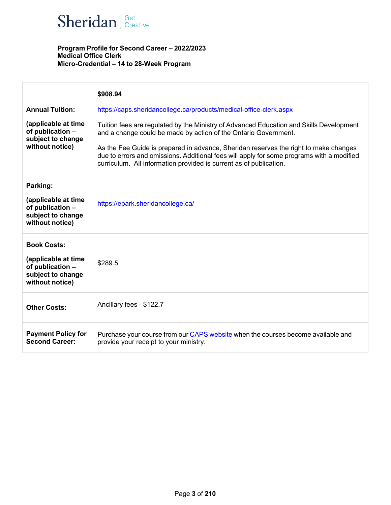

|                                                                                                       | \$908.94                                                                                                                                                                                                                                                |
|-------------------------------------------------------------------------------------------------------|---------------------------------------------------------------------------------------------------------------------------------------------------------------------------------------------------------------------------------------------------------|
| <b>Annual Tuition:</b>                                                                                | https://caps.sheridancollege.ca/products/medical-office-clerk.aspx                                                                                                                                                                                      |
| (applicable at time<br>of publication -<br>subject to change<br>without notice)                       | Tuition fees are regulated by the Ministry of Advanced Education and Skills Development<br>and a change could be made by action of the Ontario Government.                                                                                              |
|                                                                                                       | As the Fee Guide is prepared in advance, Sheridan reserves the right to make changes<br>due to errors and omissions. Additional fees will apply for some programs with a modified<br>curriculum. All information provided is current as of publication. |
| Parking:<br>(applicable at time<br>of publication -<br>subject to change<br>without notice)           | https://epark.sheridancollege.ca/                                                                                                                                                                                                                       |
| <b>Book Costs:</b><br>(applicable at time<br>of publication -<br>subject to change<br>without notice) | \$289.5                                                                                                                                                                                                                                                 |
| <b>Other Costs:</b>                                                                                   | Ancillary fees - \$122.7                                                                                                                                                                                                                                |
| <b>Payment Policy for</b><br><b>Second Career:</b>                                                    | Purchase your course from our CAPS website when the courses become available and<br>provide your receipt to your ministry.                                                                                                                              |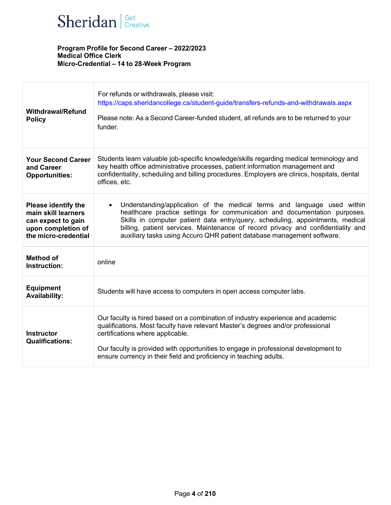

| <b>Withdrawal/Refund</b><br><b>Policy</b>                                                                             | For refunds or withdrawals, please visit:<br>https://caps.sheridancollege.ca/student-guide/transfers-refunds-and-withdrawals.aspx<br>Please note: As a Second Career-funded student, all refunds are to be returned to your<br>funder.                                                                                                                                                                |
|-----------------------------------------------------------------------------------------------------------------------|-------------------------------------------------------------------------------------------------------------------------------------------------------------------------------------------------------------------------------------------------------------------------------------------------------------------------------------------------------------------------------------------------------|
| <b>Your Second Career</b><br>and Career<br><b>Opportunities:</b>                                                      | Students learn valuable job-specific knowledge/skills regarding medical terminology and<br>key health office administrative processes, patient information management and<br>confidentiality, scheduling and billing procedures. Employers are clinics, hospitals, dental<br>offices, etc.                                                                                                            |
| <b>Please identify the</b><br>main skill learners<br>can expect to gain<br>upon completion of<br>the micro-credential | Understanding/application of the medical terms and language used within<br>healthcare practice settings for communication and documentation purposes.<br>Skills in computer patient data entry/query, scheduling, appointments, medical<br>billing, patient services. Maintenance of record privacy and confidentiality and<br>auxiliary tasks using Accuro QHR patient database management software. |
| <b>Method of</b><br>Instruction:                                                                                      | online                                                                                                                                                                                                                                                                                                                                                                                                |
| <b>Equipment</b><br><b>Availability:</b>                                                                              | Students will have access to computers in open access computer labs.                                                                                                                                                                                                                                                                                                                                  |
| <b>Instructor</b><br><b>Qualifications:</b>                                                                           | Our faculty is hired based on a combination of industry experience and academic<br>qualifications. Most faculty have relevant Master's degrees and/or professional<br>certifications where applicable.<br>Our faculty is provided with opportunities to engage in professional development to<br>ensure currency in their field and proficiency in teaching adults.                                   |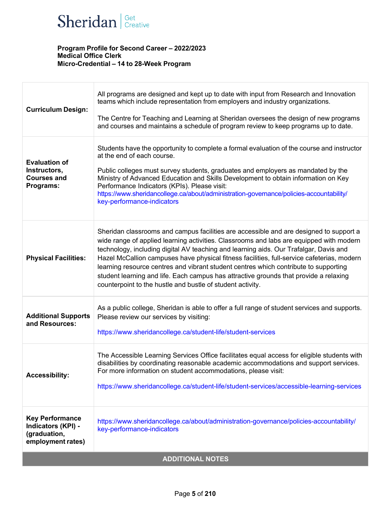

| <b>Curriculum Design:</b>                                                         | All programs are designed and kept up to date with input from Research and Innovation<br>teams which include representation from employers and industry organizations.<br>The Centre for Teaching and Learning at Sheridan oversees the design of new programs<br>and courses and maintains a schedule of program review to keep programs up to date.                                                                                                                                                                                                                                                                   |  |
|-----------------------------------------------------------------------------------|-------------------------------------------------------------------------------------------------------------------------------------------------------------------------------------------------------------------------------------------------------------------------------------------------------------------------------------------------------------------------------------------------------------------------------------------------------------------------------------------------------------------------------------------------------------------------------------------------------------------------|--|
| <b>Evaluation of</b><br>Instructors,<br><b>Courses and</b><br>Programs:           | Students have the opportunity to complete a formal evaluation of the course and instructor<br>at the end of each course.<br>Public colleges must survey students, graduates and employers as mandated by the<br>Ministry of Advanced Education and Skills Development to obtain information on Key<br>Performance Indicators (KPIs). Please visit:<br>https://www.sheridancollege.ca/about/administration-governance/policies-accountability/<br>key-performance-indicators                                                                                                                                             |  |
| <b>Physical Facilities:</b>                                                       | Sheridan classrooms and campus facilities are accessible and are designed to support a<br>wide range of applied learning activities. Classrooms and labs are equipped with modern<br>technology, including digital AV teaching and learning aids. Our Trafalgar, Davis and<br>Hazel McCallion campuses have physical fitness facilities, full-service cafeterias, modern<br>learning resource centres and vibrant student centres which contribute to supporting<br>student learning and life. Each campus has attractive grounds that provide a relaxing<br>counterpoint to the hustle and bustle of student activity. |  |
| <b>Additional Supports</b><br>and Resources:                                      | As a public college, Sheridan is able to offer a full range of student services and supports.<br>Please review our services by visiting:<br>https://www.sheridancollege.ca/student-life/student-services                                                                                                                                                                                                                                                                                                                                                                                                                |  |
| <b>Accessibility:</b>                                                             | The Accessible Learning Services Office facilitates equal access for eligible students with<br>disabilities by coordinating reasonable academic accommodations and support services.<br>For more information on student accommodations, please visit:<br>https://www.sheridancollege.ca/student-life/student-services/accessible-learning-services                                                                                                                                                                                                                                                                      |  |
| <b>Key Performance</b><br>Indicators (KPI) -<br>(graduation,<br>employment rates) | https://www.sheridancollege.ca/about/administration-governance/policies-accountability/<br>key-performance-indicators                                                                                                                                                                                                                                                                                                                                                                                                                                                                                                   |  |
| <b>ADDITIONAL NOTES</b>                                                           |                                                                                                                                                                                                                                                                                                                                                                                                                                                                                                                                                                                                                         |  |